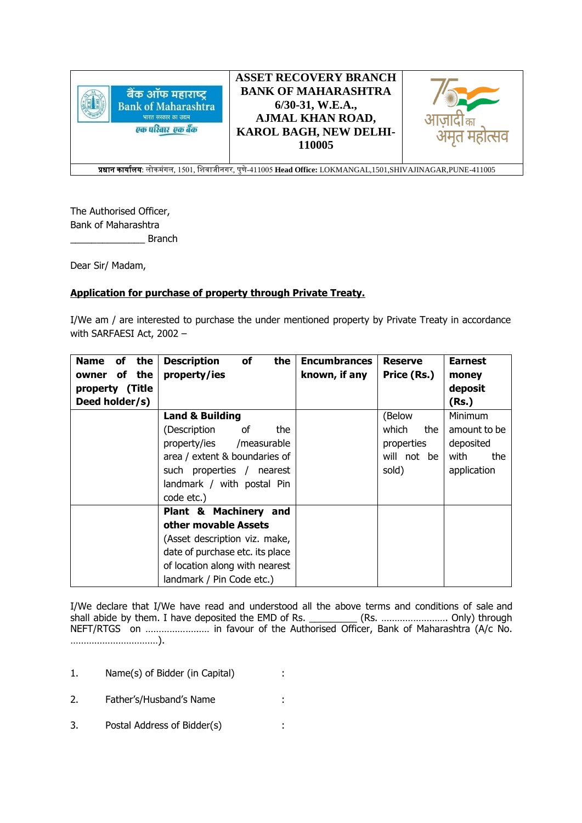

**ASSET RECOVERY BRANCH BANK OF MAHARASHTRA 6/30-31, W.E.A., AJMAL KHAN ROAD, KAROL BAGH, NEW DELHI-110005**



प्रधान कार्ाालर्: लोकमंगल, 1501, शिवाजीनगर, पुणे-411005 **Head Office:** LOKMANGAL,1501,SHIVAJINAGAR,PUNE-411005

The Authorised Officer, Bank of Maharashtra **Example 1** Branch

Dear Sir/ Madam,

## **Application for purchase of property through Private Treaty.**

I/We am / are interested to purchase the under mentioned property by Private Treaty in accordance with SARFAESI Act, 2002 –

| the<br><b>Name</b><br>of | <b>Description</b><br>of<br>the | <b>Encumbrances</b> | <b>Reserve</b> | <b>Earnest</b> |
|--------------------------|---------------------------------|---------------------|----------------|----------------|
| of the<br>owner          | property/ies                    | known, if any       | Price (Rs.)    | money          |
| property (Title          |                                 |                     |                | deposit        |
| Deed holder/s)           |                                 |                     |                | (Rs.)          |
|                          | <b>Land &amp; Building</b>      |                     | (Below         | <b>Minimum</b> |
|                          | (Description<br>of<br>the       |                     | which<br>the   | amount to be   |
|                          | property/ies /measurable        |                     | properties     | deposited      |
|                          | area / extent & boundaries of   |                     | will not be    | with<br>the    |
|                          | such properties / nearest       |                     | sold)          | application    |
|                          | landmark / with postal Pin      |                     |                |                |
|                          | code etc.)                      |                     |                |                |
|                          | Plant & Machinery and           |                     |                |                |
|                          | other movable Assets            |                     |                |                |
|                          | (Asset description viz. make,   |                     |                |                |
|                          | date of purchase etc. its place |                     |                |                |
|                          | of location along with nearest  |                     |                |                |
|                          | landmark / Pin Code etc.)       |                     |                |                |

I/We declare that I/We have read and understood all the above terms and conditions of sale and shall abide by them. I have deposited the EMD of Rs. \_\_\_\_\_\_\_\_\_\_ (Rs. ……………………………… Only) through NEFT/RTGS on …………………… in favour of the Authorised Officer, Bank of Maharashtra (A/c No. ……………………………).

- 1. Name(s) of Bidder (in Capital) :
- 2. Father's/Husband's Name :
- 3. Postal Address of Bidder(s) :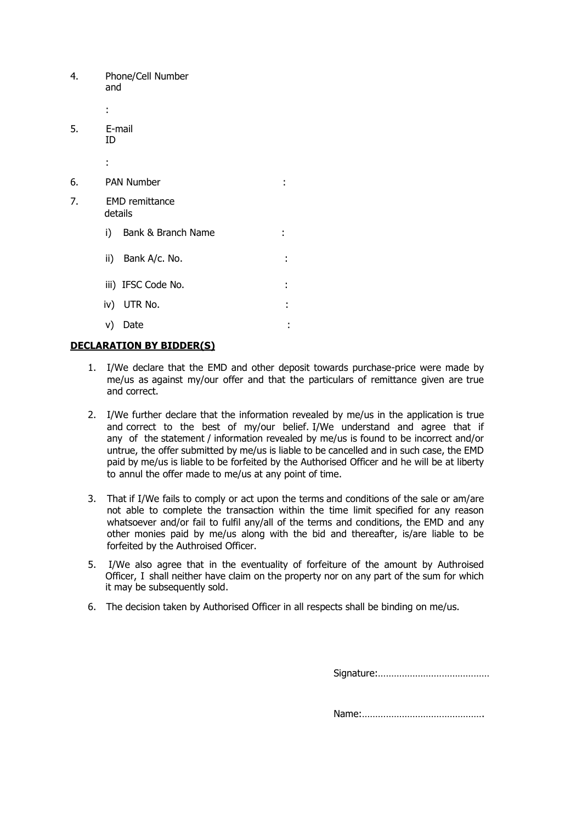| 4. | Phone/Cell Number<br>and         |   |
|----|----------------------------------|---|
|    | ä.                               |   |
| 5. | E-mail<br>ID                     |   |
|    | ÷                                |   |
| 6. | <b>PAN Number</b>                |   |
| 7. | <b>EMD</b> remittance<br>details |   |
|    | i) Bank & Branch Name            |   |
|    | ii) Bank A/c. No.                | ÷ |
|    | iii) IFSC Code No.               | í |
|    | iv) UTR No.                      | ٠ |
|    | Date<br>V)                       | ٠ |
|    |                                  |   |

## **DECLARATION BY BIDDER(S)**

- 1. I/We declare that the EMD and other deposit towards purchase-price were made by me/us as against my/our offer and that the particulars of remittance given are true and correct.
- 2. I/We further declare that the information revealed by me/us in the application is true and correct to the best of my/our belief. I/We understand and agree that if any of the statement / information revealed by me/us is found to be incorrect and/or untrue, the offer submitted by me/us is liable to be cancelled and in such case, the EMD paid by me/us is liable to be forfeited by the Authorised Officer and he will be at liberty to annul the offer made to me/us at any point of time.
- 3. That if I/We fails to comply or act upon the terms and conditions of the sale or am/are not able to complete the transaction within the time limit specified for any reason whatsoever and/or fail to fulfil any/all of the terms and conditions, the EMD and any other monies paid by me/us along with the bid and thereafter, is/are liable to be forfeited by the Authroised Officer.
- 5. I/We also agree that in the eventuality of forfeiture of the amount by Authroised Officer, I shall neither have claim on the property nor on any part of the sum for which it may be subsequently sold.
- 6. The decision taken by Authorised Officer in all respects shall be binding on me/us.

Signature:……………………………………

Name:……………………………………….